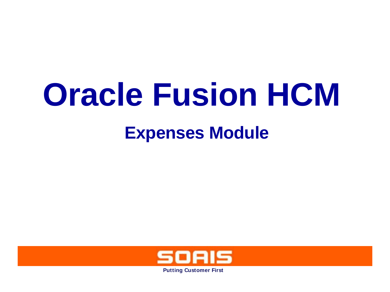# **Oracle Fusion HCM**

# **Expenses Module**

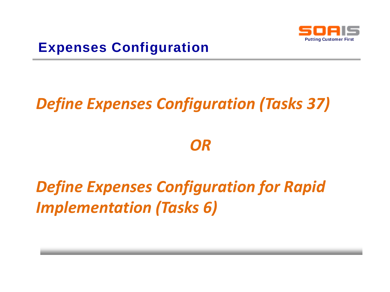

# *Define Expenses Configuration (Tasks 37)*

*OR*

# *Define Expenses Configuration for Rapid Implementation (Tasks 6)*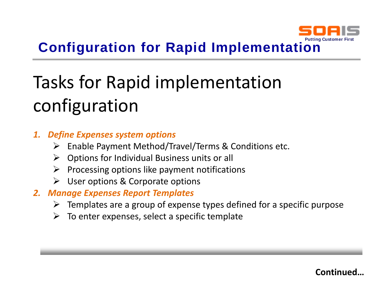

# **Configuration for Rapid Implementation**

# Tasks for Rapid implementation configuration

#### *1. Define Expenses system options*

- ➢ Enable Payment Method/Travel/Terms & Conditions etc.
- $\triangleright$  Options for Individual Business units or all
- $\triangleright$  Processing options like payment notifications
- $\triangleright$  User options & Corporate options
- *2. Manage Expenses Report Templates*
	- $\triangleright$  Templates are a group of expense types defined for a specific purpose
	- $\triangleright$  To enter expenses, select a specific template

**Continued…**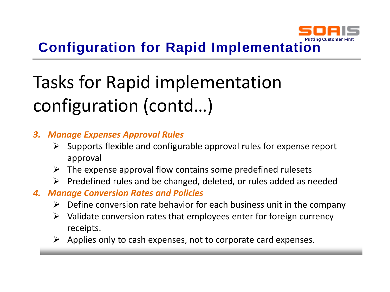

# **Configuration for Rapid Implementation**

# Tasks for Rapid implementation configuration (contd…)

#### *3. Manage Expenses Approval Rules*

- $\triangleright$  Supports flexible and configurable approval rules for expense report approval
- $\triangleright$  The expense approval flow contains some predefined rulesets
- $\triangleright$  Predefined rules and be changed, deleted, or rules added as needed
- *4. Manage Conversion Rates and Policies*
	- $\triangleright$  Define conversion rate behavior for each business unit in the company
	- $\triangleright$  Validate conversion rates that employees enter for foreign currency receipts.
	- $\triangleright$  Applies only to cash expenses, not to corporate card expenses.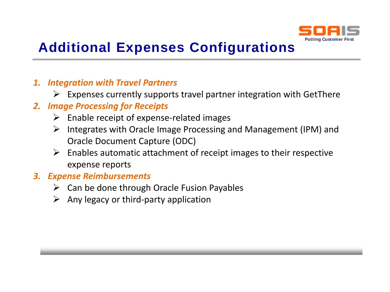

# **Additional Expenses Configurations**

#### *1. Integration with Travel Partners*

 $\triangleright$  Expenses currently supports travel partner integration with GetThere

#### *2. Image Processing for Receipts*

- $\triangleright$  Enable receipt of expense-related images
- $\triangleright$  Integrates with Oracle Image Processing and Management (IPM) and Oracle Document Capture (ODC)
- $\triangleright$  Enables automatic attachment of receipt images to their respective expense reports

#### *3. Expense Reimbursements*

- $\triangleright$  Can be done through Oracle Fusion Payables
- $\triangleright$  Any legacy or third-party application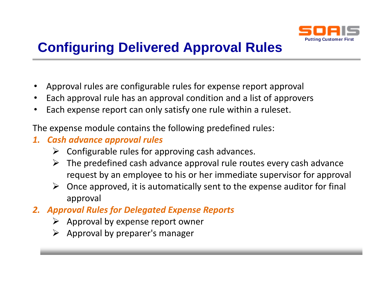

# **Configuring Delivered Approval Rules**

- Approval rules are configurable rules for expense report approval
- Each approval rule has an approval condition and a list of approvers
- Each expense report can only satisfy one rule within a ruleset.

The expense module contains the following predefined rules:

- *1. Cash advance approval rules*
	- $\triangleright$  Configurable rules for approving cash advances.
	- $\triangleright$  The predefined cash advance approval rule routes every cash advance request by an employee to his or her immediate supervisor for approval
	- $\triangleright$  Once approved, it is automatically sent to the expense auditor for final approval
- *2. Approval Rules for Delegated Expense Reports*
	- $\triangleright$  Approval by expense report owner
	- $\triangleright$  Approval by preparer's manager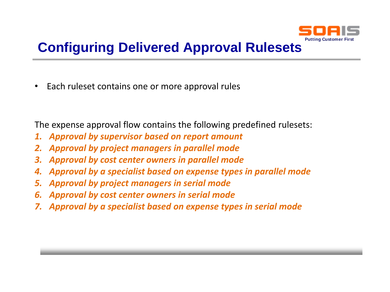

# **Configuring Delivered Approval Rulesets**

• Each ruleset contains one or more approval rules

The expense approval flow contains the following predefined rulesets:

- *1. Approval by supervisor based on report amount*
- *2. Approval by project managers in parallel mode*
- *3. Approval by cost center owners in parallel mode*
- *4. Approval by a specialist based on expense types in parallel mode*
- *5. Approval by project managers in serial mode*
- *6. Approval by cost center owners in serial mode*
- *7. Approval by a specialist based on expense types in serial mode*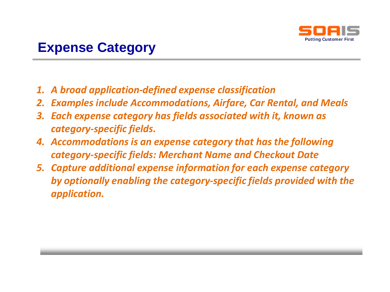

### **Expense Category**

- *1. A broad application-defined expense classification*
- *2. Examples include Accommodations, Airfare, Car Rental, and Meals*
- *3. Each expense category has fields associated with it, known as category-specific fields.*
- *4. Accommodations is an expense category that has the following category-specific fields: Merchant Name and Checkout Date*
- *5. Capture additional expense information for each expense category by optionally enabling the category-specific fields provided with the application.*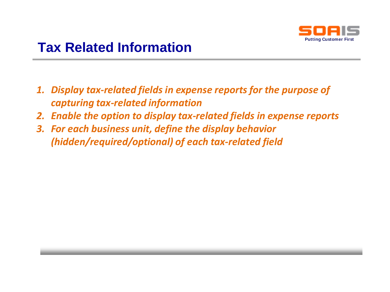

## **Tax Related Information**

- *1. Display tax-related fields in expense reports for the purpose of capturing tax-related information*
- *2. Enable the option to display tax-related fields in expense reports*
- *3. For each business unit, define the display behavior (hidden/required/optional) of each tax-related field*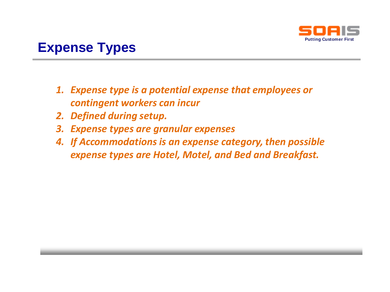

### **Expense Types**

- *1. Expense type is a potential expense that employees or contingent workers can incur*
- *2. Defined during setup.*
- *3. Expense types are granular expenses*
- *4. If Accommodations is an expense category, then possible expense types are Hotel, Motel, and Bed and Breakfast.*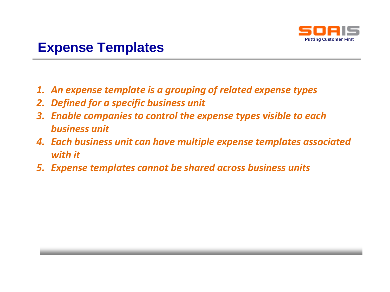

### **Expense Templates**

- *1. An expense template is a grouping of related expense types*
- *2. Defined for a specific business unit*
- *3. Enable companies to control the expense types visible to each business unit*
- *4. Each business unit can have multiple expense templates associated with it*
- *5. Expense templates cannot be shared across business units*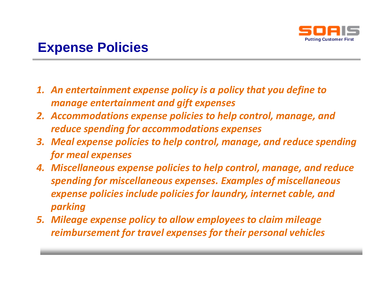

### **Expense Policies**

- *1. An entertainment expense policy is a policy that you define to manage entertainment and gift expenses*
- *2. Accommodations expense policies to help control, manage, and reduce spending for accommodations expenses*
- *3. Meal expense policies to help control, manage, and reduce spending for meal expenses*
- *4. Miscellaneous expense policies to help control, manage, and reduce spending for miscellaneous expenses. Examples of miscellaneous expense policies include policies for laundry, internet cable, and parking*
- *5. Mileage expense policy to allow employees to claim mileage reimbursement for travel expenses for their personal vehicles*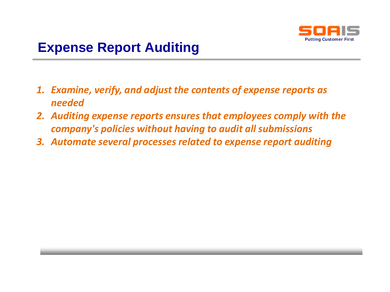

- *1. Examine, verify, and adjust the contents of expense reports as needed*
- *2. Auditing expense reports ensures that employees comply with the company's policies without having to audit all submissions*
- *3. Automate several processes related to expense report auditing*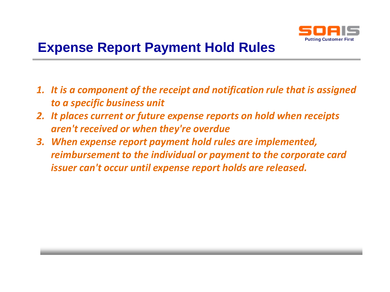

- *1. It is a component of the receipt and notification rule that is assigned to a specific business unit*
- *2. It places current or future expense reports on hold when receipts aren't received or when they're overdue*
- *3. When expense report payment hold rules are implemented, reimbursement to the individual or payment to the corporate card issuer can't occur until expense report holds are released.*